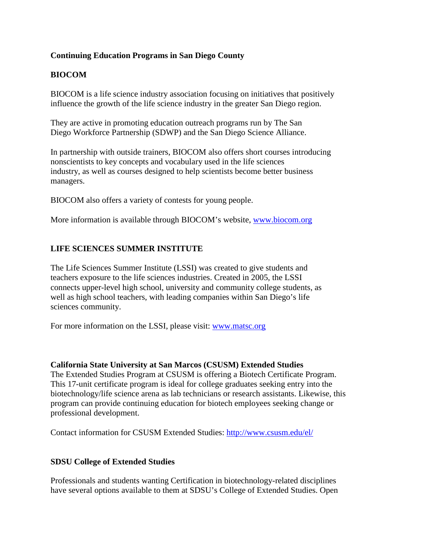### **Continuing Education Programs in San Diego County**

# **BIOCOM**

BIOCOM is a life science industry association focusing on initiatives that positively influence the growth of the life science industry in the greater San Diego region.

They are active in promoting education outreach programs run by The San Diego Workforce Partnership (SDWP) and the San Diego Science Alliance.

In partnership with outside trainers, BIOCOM also offers short courses introducing nonscientists to key concepts and vocabulary used in the life sciences industry, as well as courses designed to help scientists become better business managers.

BIOCOM also offers a variety of contests for young people.

More information is available through BIOCOM's website, [www.biocom.org](http://www.biocom.org/)

# **LIFE SCIENCES SUMMER INSTITUTE**

The Life Sciences Summer Institute (LSSI) was created to give students and teachers exposure to the life sciences industries. Created in 2005, the LSSI connects upper-level high school, university and community college students, as well as high school teachers, with leading companies within San Diego's life sciences community.

For more information on the LSSI, please visit: [www.matsc.org](http://www.matsc.org/)

#### **California State University at San Marcos (CSUSM) Extended Studies**

The Extended Studies Program at CSUSM is offering a Biotech Certificate Program. This 17-unit certificate program is ideal for college graduates seeking entry into the biotechnology/life science arena as lab technicians or research assistants. Likewise, this program can provide continuing education for biotech employees seeking change or professional development.

Contact information for CSUSM Extended Studies:<http://www.csusm.edu/el/>

#### **SDSU College of Extended Studies**

Professionals and students wanting Certification in biotechnology-related disciplines have several options available to them at SDSU's College of Extended Studies. Open